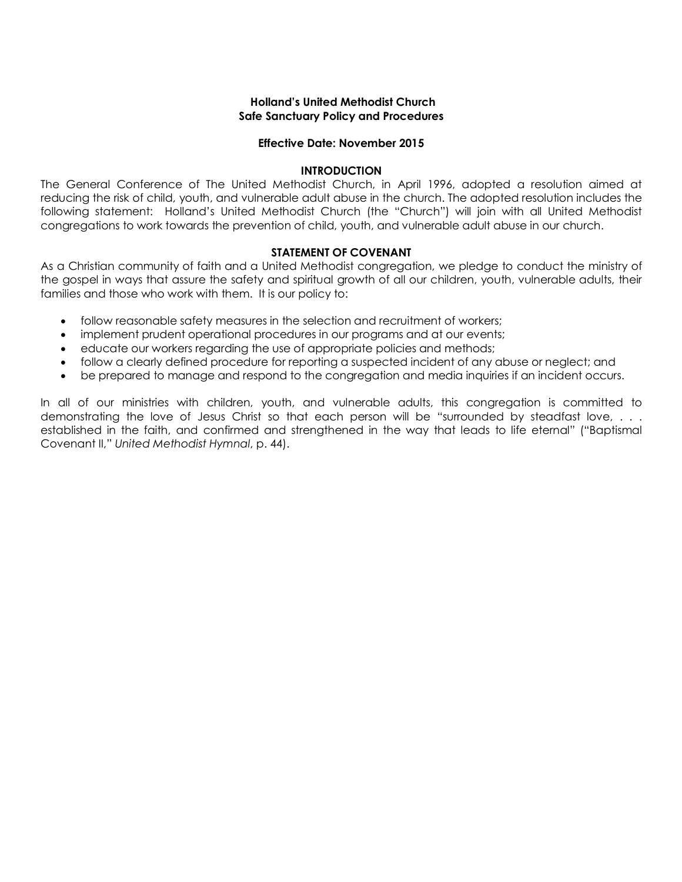### **Holland's United Methodist Church Safe Sanctuary Policy and Procedures**

#### **Effective Date: November 2015**

#### **INTRODUCTION**

The General Conference of The United Methodist Church, in April 1996, adopted a resolution aimed at reducing the risk of child, youth, and vulnerable adult abuse in the church. The adopted resolution includes the following statement: Holland's United Methodist Church (the "Church") will join with all United Methodist congregations to work towards the prevention of child, youth, and vulnerable adult abuse in our church.

#### **STATEMENT OF COVENANT**

As a Christian community of faith and a United Methodist congregation, we pledge to conduct the ministry of the gospel in ways that assure the safety and spiritual growth of all our children, youth, vulnerable adults, their families and those who work with them. It is our policy to:

- follow reasonable safety measures in the selection and recruitment of workers;
- implement prudent operational procedures in our programs and at our events;
- educate our workers regarding the use of appropriate policies and methods;
- follow a clearly defined procedure for reporting a suspected incident of any abuse or neglect; and
- be prepared to manage and respond to the congregation and media inquiries if an incident occurs.

In all of our ministries with children, youth, and vulnerable adults, this congregation is committed to demonstrating the love of Jesus Christ so that each person will be "surrounded by steadfast love, . . . established in the faith, and confirmed and strengthened in the way that leads to life eternal" ("Baptismal Covenant II," *United Methodist Hymnal*, p. 44).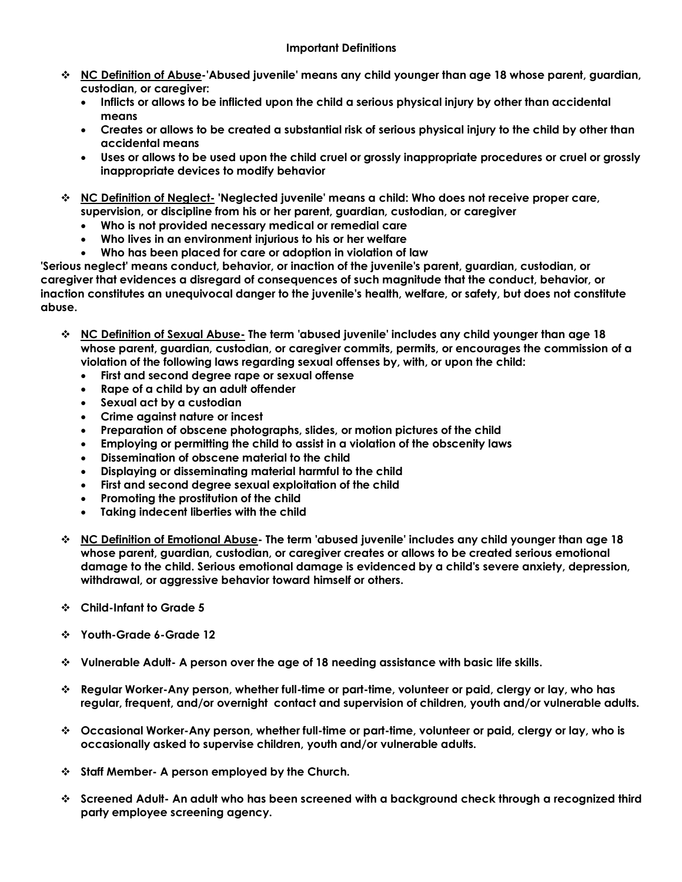- v **NC Definition of Abuse-'Abused juvenile' means any child younger than age 18 whose parent, guardian, custodian, or caregiver:** 
	- **Inflicts or allows to be inflicted upon the child a serious physical injury by other than accidental means**
	- **Creates or allows to be created a substantial risk of serious physical injury to the child by other than accidental means**
	- **Uses or allows to be used upon the child cruel or grossly inappropriate procedures or cruel or grossly inappropriate devices to modify behavior**
- v **NC Definition of Neglect- 'Neglected juvenile' means a child: Who does not receive proper care, supervision, or discipline from his or her parent, guardian, custodian, or caregiver** 
	- **Who is not provided necessary medical or remedial care**
	- **Who lives in an environment injurious to his or her welfare**
	- **Who has been placed for care or adoption in violation of law**

**'Serious neglect' means conduct, behavior, or inaction of the juvenile's parent, guardian, custodian, or caregiver that evidences a disregard of consequences of such magnitude that the conduct, behavior, or inaction constitutes an unequivocal danger to the juvenile's health, welfare, or safety, but does not constitute abuse.**

- v **NC Definition of Sexual Abuse- The term 'abused juvenile' includes any child younger than age 18 whose parent, guardian, custodian, or caregiver commits, permits, or encourages the commission of a violation of the following laws regarding sexual offenses by, with, or upon the child:**
	- **First and second degree rape or sexual offense**
	- **Rape of a child by an adult offender**
	- **Sexual act by a custodian**
	- **Crime against nature or incest**
	- **Preparation of obscene photographs, slides, or motion pictures of the child**
	- **Employing or permitting the child to assist in a violation of the obscenity laws**
	- **Dissemination of obscene material to the child**
	- **Displaying or disseminating material harmful to the child**
	- **First and second degree sexual exploitation of the child**
	- **Promoting the prostitution of the child**
	- **Taking indecent liberties with the child**
- v **NC Definition of Emotional Abuse- The term 'abused juvenile' includes any child younger than age 18 whose parent, guardian, custodian, or caregiver creates or allows to be created serious emotional damage to the child. Serious emotional damage is evidenced by a child's severe anxiety, depression, withdrawal, or aggressive behavior toward himself or others.**
- v **Child-Infant to Grade 5**
- v **Youth-Grade 6-Grade 12**
- v **Vulnerable Adult- A person over the age of 18 needing assistance with basic life skills.**
- v **Regular Worker-Any person, whether full-time or part-time, volunteer or paid, clergy or lay, who has regular, frequent, and/or overnight contact and supervision of children, youth and/or vulnerable adults.**
- v **Occasional Worker-Any person, whether full-time or part-time, volunteer or paid, clergy or lay, who is occasionally asked to supervise children, youth and/or vulnerable adults.**
- v **Staff Member- A person employed by the Church.**
- v **Screened Adult- An adult who has been screened with a background check through a recognized third party employee screening agency.**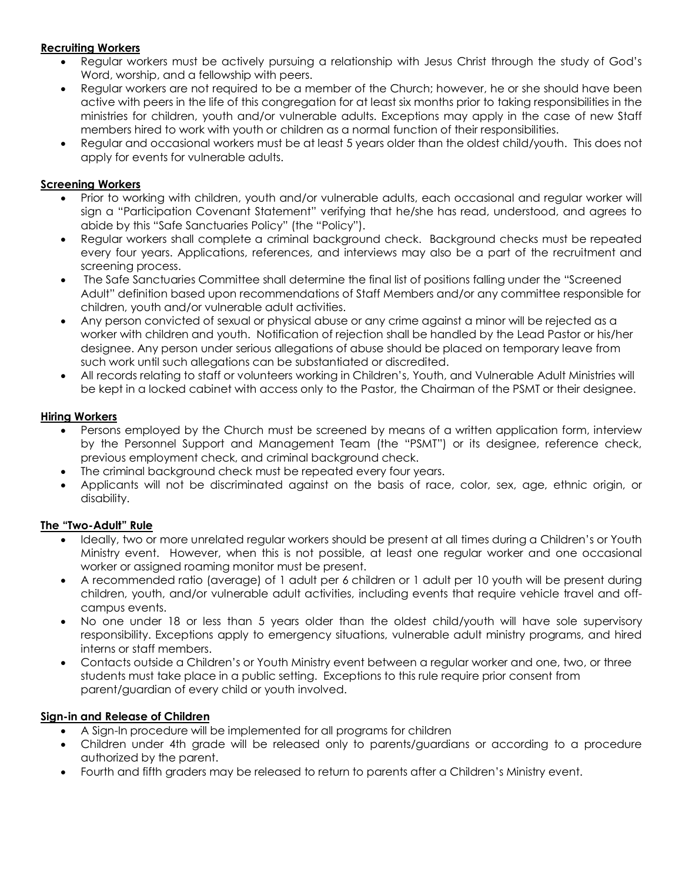## **Recruiting Workers**

- Regular workers must be actively pursuing a relationship with Jesus Christ through the study of God's Word, worship, and a fellowship with peers.
- Regular workers are not required to be a member of the Church; however, he or she should have been active with peers in the life of this congregation for at least six months prior to taking responsibilities in the ministries for children, youth and/or vulnerable adults. Exceptions may apply in the case of new Staff members hired to work with youth or children as a normal function of their responsibilities.
- Regular and occasional workers must be at least 5 years older than the oldest child/youth. This does not apply for events for vulnerable adults.

### **Screening Workers**

- Prior to working with children, youth and/or vulnerable adults, each occasional and regular worker will sign a "Participation Covenant Statement" verifying that he/she has read, understood, and agrees to abide by this "Safe Sanctuaries Policy" (the "Policy").
- Regular workers shall complete a criminal background check. Background checks must be repeated every four years. Applications, references, and interviews may also be a part of the recruitment and screening process.
- The Safe Sanctuaries Committee shall determine the final list of positions falling under the "Screened Adult" definition based upon recommendations of Staff Members and/or any committee responsible for children, youth and/or vulnerable adult activities.
- Any person convicted of sexual or physical abuse or any crime against a minor will be rejected as a worker with children and youth. Notification of rejection shall be handled by the Lead Pastor or his/her designee. Any person under serious allegations of abuse should be placed on temporary leave from such work until such allegations can be substantiated or discredited.
- All records relating to staff or volunteers working in Children's, Youth, and Vulnerable Adult Ministries will be kept in a locked cabinet with access only to the Pastor, the Chairman of the PSMT or their designee.

### **Hiring Workers**

- Persons employed by the Church must be screened by means of a written application form, interview by the Personnel Support and Management Team (the "PSMT") or its designee, reference check, previous employment check, and criminal background check.
- The criminal background check must be repeated every four years.
- Applicants will not be discriminated against on the basis of race, color, sex, age, ethnic origin, or disability.

## **The "Two-Adult" Rule**

- Ideally, two or more unrelated regular workers should be present at all times during a Children's or Youth Ministry event. However, when this is not possible, at least one regular worker and one occasional worker or assigned roaming monitor must be present.
- A recommended ratio (average) of 1 adult per 6 children or 1 adult per 10 youth will be present during children, youth, and/or vulnerable adult activities, including events that require vehicle travel and offcampus events.
- No one under 18 or less than 5 years older than the oldest child/youth will have sole supervisory responsibility. Exceptions apply to emergency situations, vulnerable adult ministry programs, and hired interns or staff members.
- Contacts outside a Children's or Youth Ministry event between a regular worker and one, two, or three students must take place in a public setting. Exceptions to this rule require prior consent from parent/guardian of every child or youth involved.

#### **Sign-in and Release of Children**

- A Sign-In procedure will be implemented for all programs for children
- Children under 4th grade will be released only to parents/guardians or according to a procedure authorized by the parent.
- Fourth and fifth graders may be released to return to parents after a Children's Ministry event.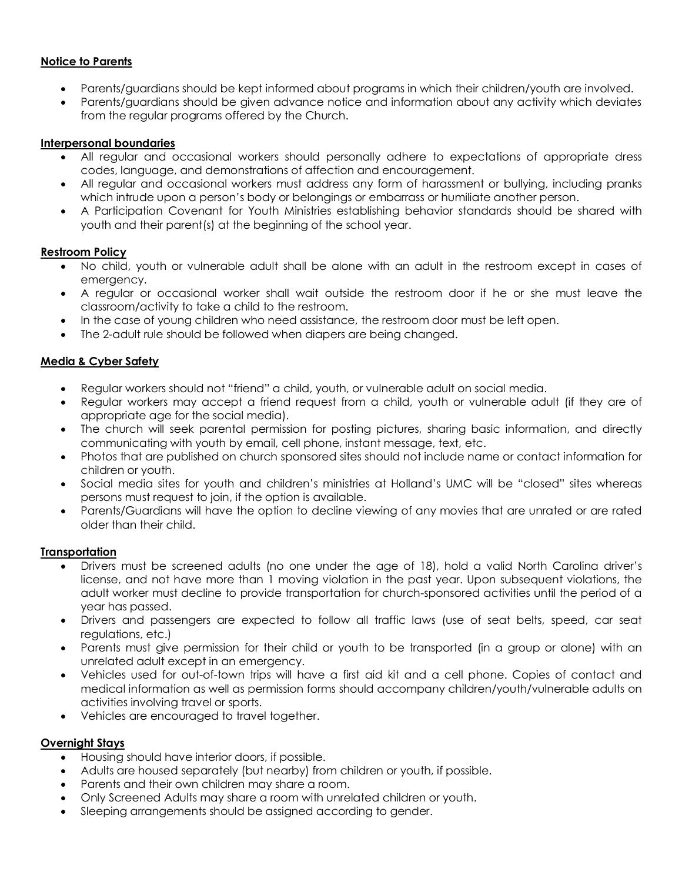### **Notice to Parents**

- Parents/guardians should be kept informed about programs in which their children/youth are involved.
- Parents/guardians should be given advance notice and information about any activity which deviates from the regular programs offered by the Church.

#### **Interpersonal boundaries**

- All regular and occasional workers should personally adhere to expectations of appropriate dress codes, language, and demonstrations of affection and encouragement.
- All regular and occasional workers must address any form of harassment or bullying, including pranks which intrude upon a person's body or belongings or embarrass or humiliate another person.
- A Participation Covenant for Youth Ministries establishing behavior standards should be shared with youth and their parent(s) at the beginning of the school year.

### **Restroom Policy**

- No child, youth or vulnerable adult shall be alone with an adult in the restroom except in cases of emergency.
- A regular or occasional worker shall wait outside the restroom door if he or she must leave the classroom/activity to take a child to the restroom.
- In the case of young children who need assistance, the restroom door must be left open.
- The 2-adult rule should be followed when diapers are being changed.

## **Media & Cyber Safety**

- Regular workers should not "friend" a child, youth, or vulnerable adult on social media.
- Regular workers may accept a friend request from a child, youth or vulnerable adult (if they are of appropriate age for the social media).
- The church will seek parental permission for posting pictures, sharing basic information, and directly communicating with youth by email, cell phone, instant message, text, etc.
- Photos that are published on church sponsored sites should not include name or contact information for children or youth.
- Social media sites for youth and children's ministries at Holland's UMC will be "closed" sites whereas persons must request to join, if the option is available.
- Parents/Guardians will have the option to decline viewing of any movies that are unrated or are rated older than their child.

#### **Transportation**

- Drivers must be screened adults (no one under the age of 18), hold a valid North Carolina driver's license, and not have more than 1 moving violation in the past year. Upon subsequent violations, the adult worker must decline to provide transportation for church-sponsored activities until the period of a year has passed.
- Drivers and passengers are expected to follow all traffic laws (use of seat belts, speed, car seat regulations, etc.)
- Parents must give permission for their child or youth to be transported (in a group or alone) with an unrelated adult except in an emergency.
- Vehicles used for out-of-town trips will have a first aid kit and a cell phone. Copies of contact and medical information as well as permission forms should accompany children/youth/vulnerable adults on activities involving travel or sports.
- Vehicles are encouraged to travel together.

## **Overnight Stays**

- Housing should have interior doors, if possible.
- Adults are housed separately (but nearby) from children or youth, if possible.
- Parents and their own children may share a room.
- Only Screened Adults may share a room with unrelated children or youth.
- Sleeping arrangements should be assigned according to gender.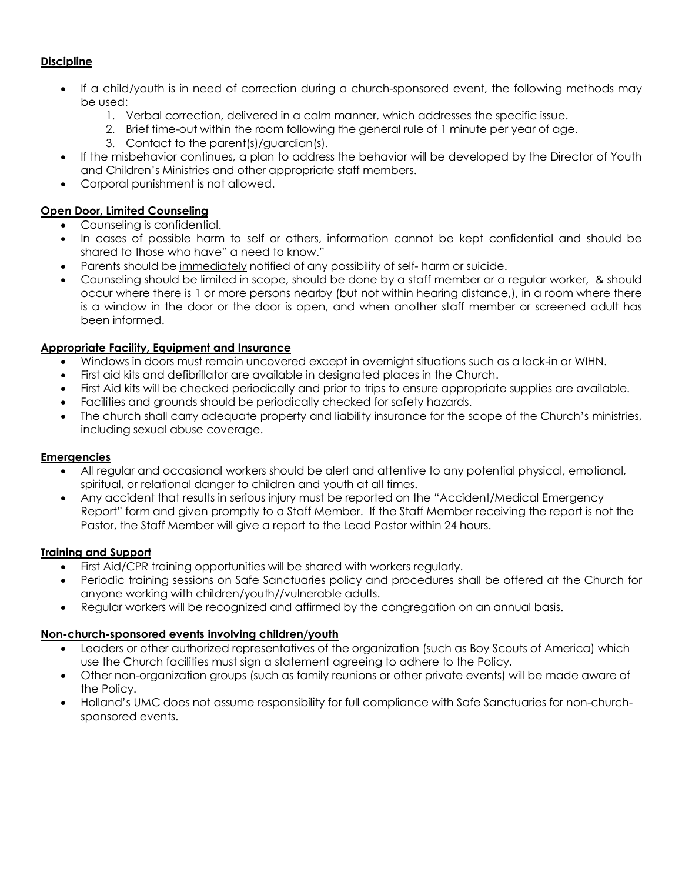## **Discipline**

- If a child/youth is in need of correction during a church-sponsored event, the following methods may be used:
	- 1. Verbal correction, delivered in a calm manner, which addresses the specific issue.
	- 2. Brief time-out within the room following the general rule of 1 minute per year of age.
	- 3. Contact to the parent(s)/guardian(s).
- If the misbehavior continues, a plan to address the behavior will be developed by the Director of Youth and Children's Ministries and other appropriate staff members.
- Corporal punishment is not allowed.

# **Open Door, Limited Counseling**

- Counseling is confidential.
- In cases of possible harm to self or others, information cannot be kept confidential and should be shared to those who have" a need to know."
- Parents should be immediately notified of any possibility of self- harm or suicide.
- Counseling should be limited in scope, should be done by a staff member or a regular worker, & should occur where there is 1 or more persons nearby (but not within hearing distance,), in a room where there is a window in the door or the door is open, and when another staff member or screened adult has been informed.

## **Appropriate Facility, Equipment and Insurance**

- Windows in doors must remain uncovered except in overnight situations such as a lock-in or WIHN.
- First aid kits and defibrillator are available in designated places in the Church.
- First Aid kits will be checked periodically and prior to trips to ensure appropriate supplies are available.
- Facilities and grounds should be periodically checked for safety hazards.
- The church shall carry adequate property and liability insurance for the scope of the Church's ministries, including sexual abuse coverage.

#### **Emergencies**

- All regular and occasional workers should be alert and attentive to any potential physical, emotional, spiritual, or relational danger to children and youth at all times.
- Any accident that results in serious injury must be reported on the "Accident/Medical Emergency Report" form and given promptly to a Staff Member. If the Staff Member receiving the report is not the Pastor, the Staff Member will give a report to the Lead Pastor within 24 hours.

## **Training and Support**

- First Aid/CPR training opportunities will be shared with workers regularly.
- Periodic training sessions on Safe Sanctuaries policy and procedures shall be offered at the Church for anyone working with children/youth//vulnerable adults.
- Regular workers will be recognized and affirmed by the congregation on an annual basis.

## **Non-church-sponsored events involving children/youth**

- Leaders or other authorized representatives of the organization (such as Boy Scouts of America) which use the Church facilities must sign a statement agreeing to adhere to the Policy.
- Other non-organization groups (such as family reunions or other private events) will be made aware of the Policy.
- Holland's UMC does not assume responsibility for full compliance with Safe Sanctuaries for non-churchsponsored events.